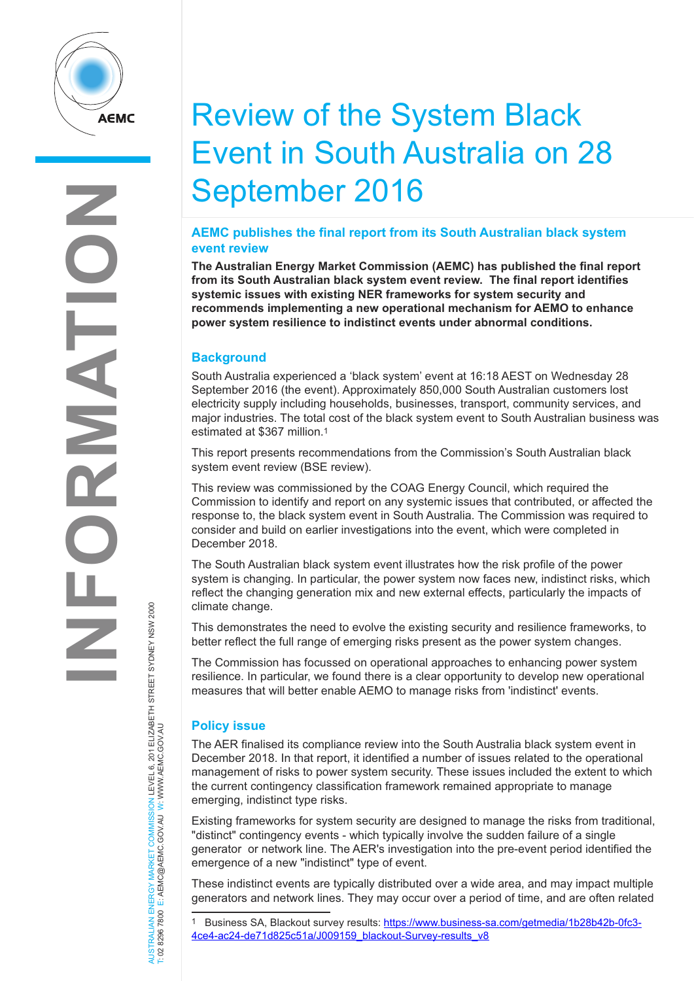**INFORMATION** ENSIN  $\overline{\mathbf{R}}$ 3  $\frac{1}{Z}$ 

# Review of the System Black Event in South Australia on 28 September 2016

### **AEMC publishes the final report from its South Australian black system event review**

**The Australian Energy Market Commission (AEMC) has published the final report from its South Australian black system event review. The final report identifies systemic issues with existing NER frameworks for system security and recommends implementing a new operational mechanism for AEMO to enhance power system resilience to indistinct events under abnormal conditions.**

## **Background**

South Australia experienced a 'black system' event at 16:18 AEST on Wednesday 28 September 2016 (the event). Approximately 850,000 South Australian customers lost electricity supply including households, businesses, transport, community services, and major industries. The total cost of the black system event to South Australian business was estimated at \$367 million.1

This report presents recommendations from the Commission's South Australian black system event review (BSE review).

This review was commissioned by the COAG Energy Council, which required the Commission to identify and report on any systemic issues that contributed, or affected the response to, the black system event in South Australia. The Commission was required to consider and build on earlier investigations into the event, which were completed in December 2018.

The South Australian black system event illustrates how the risk profile of the power system is changing. In particular, the power system now faces new, indistinct risks, which reflect the changing generation mix and new external effects, particularly the impacts of climate change.

This demonstrates the need to evolve the existing security and resilience frameworks, to better reflect the full range of emerging risks present as the power system changes.

The Commission has focussed on operational approaches to enhancing power system resilience. In particular, we found there is a clear opportunity to develop new operational measures that will better enable AEMO to manage risks from 'indistinct' events.

## **Policy issue**

The AER finalised its compliance review into the South Australia black system event in December 2018. In that report, it identified a number of issues related to the operational management of risks to power system security. These issues included the extent to which the current contingency classification framework remained appropriate to manage emerging, indistinct type risks.

Existing frameworks for system security are designed to manage the risks from traditional, "distinct" contingency events - which typically involve the sudden failure of a single generator or network line. The AER's investigation into the pre-event period identified the emergence of a new "indistinct" type of event.

These indistinct events are typically distributed over a wide area, and may impact multiple generators and network lines. They may occur over a period of time, and are often related

AUSTRALIAN ENERGY MARKET COMMISSION LEVEL 6, 201 ELIZABETH STREET SYDNEY NSW 2000<br>T: 02 8296 7800 E: AEMC@AEMC.GOV.AU W: WWW.AEMC.GOV.AU AUSTRALIAN ENERGY MARKET COMMISSION LEVEL 6, 201 ELIZABETH STREET SYDNEY NSW 2000 T: 02 8296 7800 E: AEMC@AEMC.GOV.AU W: WWW.AEMC.GOV.AU

Business SA, Blackout survey results: https://www.business-sa.com/getmedia/1b28b42b-0fc3-4ce4-ac24-de71d825c51a/J009159\_blackout-Survey-results\_v8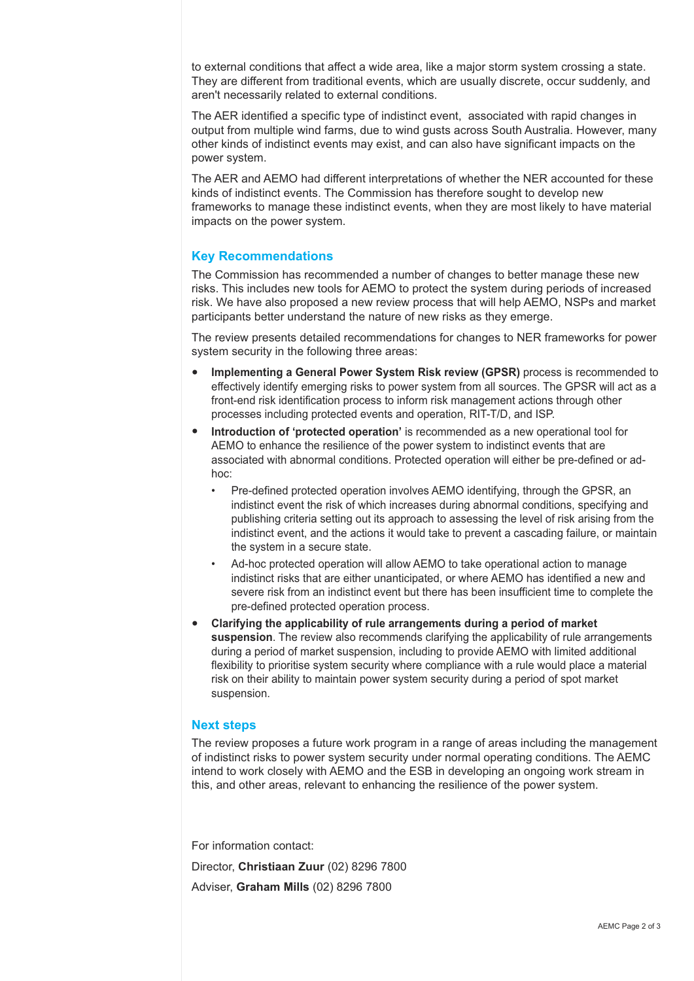to external conditions that affect a wide area, like a major storm system crossing a state. They are different from traditional events, which are usually discrete, occur suddenly, and aren't necessarily related to external conditions.

The AER identified a specific type of indistinct event, associated with rapid changes in output from multiple wind farms, due to wind gusts across South Australia. However, many other kinds of indistinct events may exist, and can also have significant impacts on the power system.

The AER and AEMO had different interpretations of whether the NER accounted for these kinds of indistinct events. The Commission has therefore sought to develop new frameworks to manage these indistinct events, when they are most likely to have material impacts on the power system.

#### **Key Recommendations**

The Commission has recommended a number of changes to better manage these new risks. This includes new tools for AEMO to protect the system during periods of increased risk. We have also proposed a new review process that will help AEMO, NSPs and market participants better understand the nature of new risks as they emerge.

The review presents detailed recommendations for changes to NER frameworks for power system security in the following three areas:

- **Implementing a General Power System Risk review (GPSR)** process is recommended to effectively identify emerging risks to power system from all sources. The GPSR will act as a front-end risk identification process to inform risk management actions through other processes including protected events and operation, RIT-T/D, and ISP.
- **Introduction of 'protected operation'** is recommended as a new operational tool for AEMO to enhance the resilience of the power system to indistinct events that are associated with abnormal conditions. Protected operation will either be pre-defined or adhoc:
	- Pre-defined protected operation involves AEMO identifying, through the GPSR, an indistinct event the risk of which increases during abnormal conditions, specifying and publishing criteria setting out its approach to assessing the level of risk arising from the indistinct event, and the actions it would take to prevent a cascading failure, or maintain the system in a secure state.
	- Ad-hoc protected operation will allow AEMO to take operational action to manage indistinct risks that are either unanticipated, or where AEMO has identified a new and severe risk from an indistinct event but there has been insufficient time to complete the pre-defined protected operation process.
- **Clarifying the applicability of rule arrangements during a period of market suspension**. The review also recommends clarifying the applicability of rule arrangements during a period of market suspension, including to provide AEMO with limited additional flexibility to prioritise system security where compliance with a rule would place a material risk on their ability to maintain power system security during a period of spot market suspension.

#### **Next steps**

The review proposes a future work program in a range of areas including the management of indistinct risks to power system security under normal operating conditions. The AEMC intend to work closely with AEMO and the ESB in developing an ongoing work stream in this, and other areas, relevant to enhancing the resilience of the power system.

For information contact:

Director, **Christiaan Zuur** (02) 8296 7800 Adviser, **Graham Mills** (02) 8296 7800